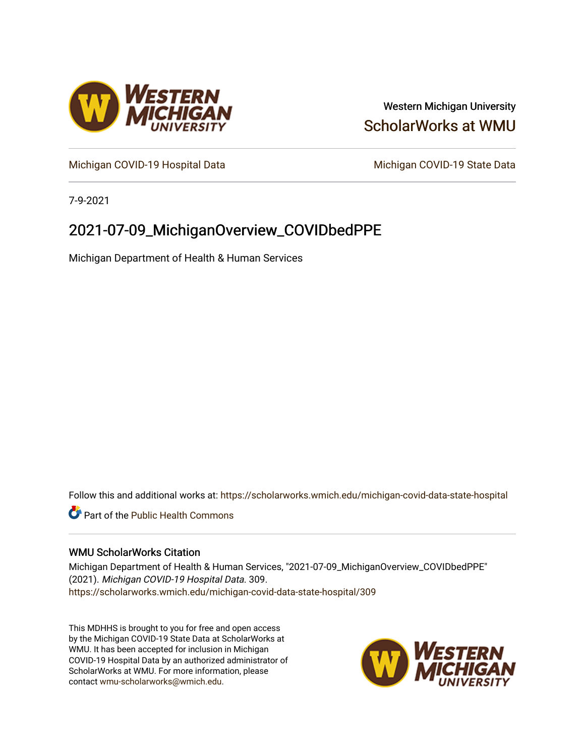

# Western Michigan University [ScholarWorks at WMU](https://scholarworks.wmich.edu/)

[Michigan COVID-19 Hospital Data](https://scholarworks.wmich.edu/michigan-covid-data-state-hospital) Michigan COVID-19 State Data

7-9-2021

# 2021-07-09\_MichiganOverview\_COVIDbedPPE

Michigan Department of Health & Human Services

Follow this and additional works at: [https://scholarworks.wmich.edu/michigan-covid-data-state-hospital](https://scholarworks.wmich.edu/michigan-covid-data-state-hospital?utm_source=scholarworks.wmich.edu%2Fmichigan-covid-data-state-hospital%2F309&utm_medium=PDF&utm_campaign=PDFCoverPages) 

**Part of the Public Health Commons** 

#### WMU ScholarWorks Citation

Michigan Department of Health & Human Services, "2021-07-09\_MichiganOverview\_COVIDbedPPE" (2021). Michigan COVID-19 Hospital Data. 309. [https://scholarworks.wmich.edu/michigan-covid-data-state-hospital/309](https://scholarworks.wmich.edu/michigan-covid-data-state-hospital/309?utm_source=scholarworks.wmich.edu%2Fmichigan-covid-data-state-hospital%2F309&utm_medium=PDF&utm_campaign=PDFCoverPages) 

This MDHHS is brought to you for free and open access by the Michigan COVID-19 State Data at ScholarWorks at WMU. It has been accepted for inclusion in Michigan COVID-19 Hospital Data by an authorized administrator of ScholarWorks at WMU. For more information, please contact [wmu-scholarworks@wmich.edu](mailto:wmu-scholarworks@wmich.edu).

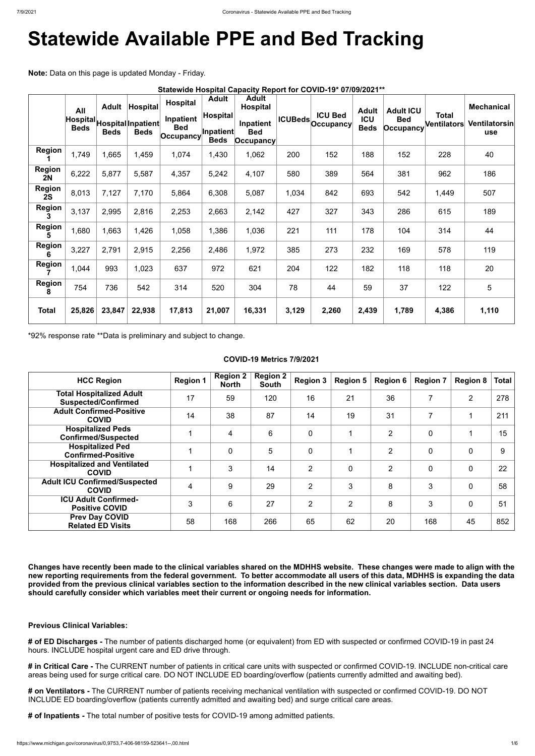# **Statewide Available PPE and Bed Tracking**

**Note:** Data on this page is updated Monday - Friday.

|                     | Statewide Hospital Capacity Report for COVID-19* 07/09/2021** |             |                                                              |                                                             |                                                             |                                                                             |       |                                                             |                                           |                                             |                                    |                                                  |
|---------------------|---------------------------------------------------------------|-------------|--------------------------------------------------------------|-------------------------------------------------------------|-------------------------------------------------------------|-----------------------------------------------------------------------------|-------|-------------------------------------------------------------|-------------------------------------------|---------------------------------------------|------------------------------------|--------------------------------------------------|
|                     | All<br><b>Beds</b>                                            | <b>Beds</b> | Adult Hospital<br>Hospital Hospital Inpatient<br><b>Beds</b> | <b>Hospital</b><br>Inpatient<br><b>Bed</b><br>$ $ Occupancy | <b>Adult</b><br>Hospital<br><b>Inpatient</b><br><b>Beds</b> | <b>Adult</b><br><b>Hospital</b><br>Inpatient<br><b>Bed</b><br>$ $ Occupancy |       | <b>ICU Bed</b><br><sub>(ICUBeds</sub> <sub>Occupancy)</sub> | <b>Adult</b><br><b>ICU</b><br><b>Beds</b> | <b>Adult ICU</b><br><b>Bed</b><br>Occupancy | <b>Total</b><br><b>Ventilators</b> | <b>Mechanical</b><br>Ventilatorsin<br><b>use</b> |
| <b>Region</b>       | 1,749                                                         | 1,665       | 1,459                                                        | 1,074                                                       | 1,430                                                       | 1,062                                                                       | 200   | 152                                                         | 188                                       | 152                                         | 228                                | 40                                               |
| <b>Region</b><br>2N | 6,222                                                         | 5,877       | 5,587                                                        | 4,357                                                       | 5,242                                                       | 4,107                                                                       | 580   | 389                                                         | 564                                       | 381                                         | 962                                | 186                                              |
| <b>Region</b><br>2S | 8,013                                                         | 7,127       | 7,170                                                        | 5,864                                                       | 6,308                                                       | 5,087                                                                       | 1,034 | 842                                                         | 693                                       | 542                                         | 1,449                              | 507                                              |
| <b>Region</b><br>3  | 3,137                                                         | 2,995       | 2,816                                                        | 2,253                                                       | 2,663                                                       | 2,142                                                                       | 427   | 327                                                         | 343                                       | 286                                         | 615                                | 189                                              |
| <b>Region</b><br>5  | 1,680                                                         | 1,663       | 1,426                                                        | 1,058                                                       | 1,386                                                       | 1,036                                                                       | 221   | 111                                                         | 178                                       | 104                                         | 314                                | 44                                               |
| <b>Region</b><br>6  | 3,227                                                         | 2,791       | 2,915                                                        | 2,256                                                       | 2,486                                                       | 1,972                                                                       | 385   | 273                                                         | 232                                       | 169                                         | 578                                | 119                                              |
| <b>Region</b>       | 1,044                                                         | 993         | 1,023                                                        | 637                                                         | 972                                                         | 621                                                                         | 204   | 122                                                         | 182                                       | 118                                         | 118                                | 20                                               |
| <b>Region</b><br>8  | 754                                                           | 736         | 542                                                          | 314                                                         | 520                                                         | 304                                                                         | 78    | 44                                                          | 59                                        | 37                                          | 122                                | $5\phantom{.0}$                                  |
| <b>Total</b>        | 25,826                                                        | 23,847      | 22,938                                                       | 17,813                                                      | 21,007                                                      | 16,331                                                                      | 3,129 | 2,260                                                       | 2,439                                     | 1,789                                       | 4,386                              | 1,110                                            |

\*92% response rate \*\*Data is preliminary and subject to change.

## **COVID-19 Metrics 7/9/2021**

| <b>HCC Region</b>                                             | <b>Region 1</b> | <b>Region 2</b><br><b>North</b> | <b>Region 2</b><br><b>South</b> | <b>Region 3</b> | <b>Region 5</b> | <b>Region 6</b> | <b>Region 7</b> | <b>Region 8</b> | Total |
|---------------------------------------------------------------|-----------------|---------------------------------|---------------------------------|-----------------|-----------------|-----------------|-----------------|-----------------|-------|
| <b>Total Hospitalized Adult</b><br><b>Suspected/Confirmed</b> | 17              | 59                              | 120                             | 16              | 21              | 36              | 7               | $\overline{2}$  | 278   |
| <b>Adult Confirmed-Positive</b><br><b>COVID</b>               | 14              | 38                              | 87                              | 14              | 19              | 31              | 7               |                 | 211   |
| <b>Hospitalized Peds</b><br><b>Confirmed/Suspected</b>        |                 | 4                               | 6                               | $\mathbf 0$     | 1               | 2               | $\mathbf 0$     |                 | 15    |
| <b>Hospitalized Ped</b><br><b>Confirmed-Positive</b>          |                 | $\overline{0}$                  | 5                               | $\overline{0}$  |                 | $\overline{2}$  | $\mathbf 0$     | $\overline{0}$  | 9     |
| <b>Hospitalized and Ventilated</b><br><b>COVID</b>            |                 | 3                               | 14                              | $\overline{2}$  | $\overline{0}$  | $\overline{2}$  | $\mathbf{0}$    | $\overline{0}$  | 22    |
| <b>Adult ICU Confirmed/Suspected</b><br><b>COVID</b>          | $\overline{4}$  | 9                               | 29                              | $\overline{2}$  | 3               | 8               | 3               | $\overline{0}$  | 58    |
| <b>ICU Adult Confirmed-</b><br><b>Positive COVID</b>          | 3               | 6                               | 27                              | $\overline{2}$  | $\overline{2}$  | 8               | 3               | $\overline{0}$  | 51    |
| <b>Prev Day COVID</b><br><b>Related ED Visits</b>             | 58              | 168                             | 266                             | 65              | 62              | 20              | 168             | 45              | 852   |

**Changes have recently been made to the clinical variables shared on the MDHHS website. These changes were made to align with the**

**new reporting requirements from the federal government. To better accommodate all users of this data, MDHHS is expanding the data provided from the previous clinical variables section to the information described in the new clinical variables section. Data users should carefully consider which variables meet their current or ongoing needs for information.**

**Previous Clinical Variables:**

**# of ED Discharges -** The number of patients discharged home (or equivalent) from ED with suspected or confirmed COVID-19 in past 24 hours. INCLUDE hospital urgent care and ED drive through.

**# in Critical Care -** The CURRENT number of patients in critical care units with suspected or confirmed COVID-19. INCLUDE non-critical care areas being used for surge critical care. DO NOT INCLUDE ED boarding/overflow (patients currently admitted and awaiting bed).

**# on Ventilators -** The CURRENT number of patients receiving mechanical ventilation with suspected or confirmed COVID-19. DO NOT INCLUDE ED boarding/overflow (patients currently admitted and awaiting bed) and surge critical care areas.

**# of Inpatients -** The total number of positive tests for COVID-19 among admitted patients.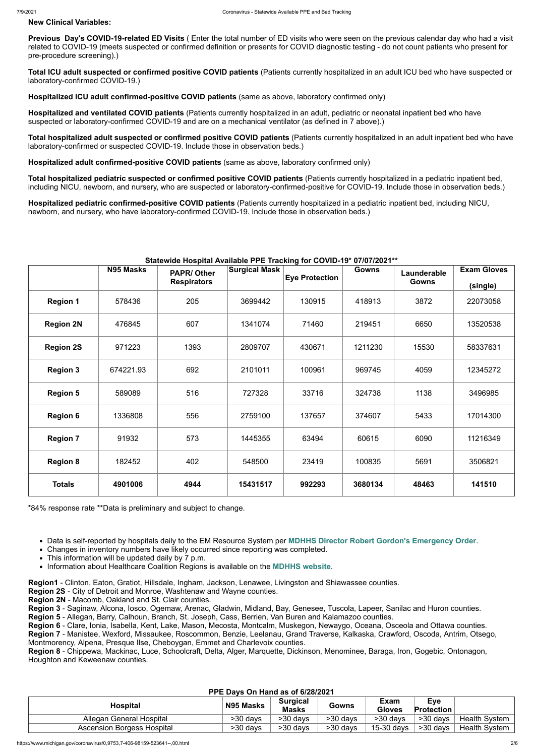#### **New Clinical Variables:**

**Previous Day's COVID-19-related ED Visits** ( Enter the total number of ED visits who were seen on the previous calendar day who had a visit related to COVID-19 (meets suspected or confirmed definition or presents for COVID diagnostic testing - do not count patients who present for pre-procedure screening).)

**Total ICU adult suspected or confirmed positive COVID patients** (Patients currently hospitalized in an adult ICU bed who have suspected or laboratory-confirmed COVID-19.)

**Hospitalized ICU adult confirmed-positive COVID patients** (same as above, laboratory confirmed only)

**Hospitalized and ventilated COVID patients** (Patients currently hospitalized in an adult, pediatric or neonatal inpatient bed who have suspected or laboratory-confirmed COVID-19 and are on a mechanical ventilator (as defined in 7 above).)

**Total hospitalized adult suspected or confirmed positive COVID patients** (Patients currently hospitalized in an adult inpatient bed who have laboratory-confirmed or suspected COVID-19. Include those in observation beds.)

**Hospitalized adult confirmed-positive COVID patients** (same as above, laboratory confirmed only)

**Total hospitalized pediatric suspected or confirmed positive COVID patients** (Patients currently hospitalized in a pediatric inpatient bed, including NICU, newborn, and nursery, who are suspected or laboratory-confirmed-positive for COVID-19. Include those in observation beds.)

**Hospitalized pediatric confirmed-positive COVID patients** (Patients currently hospitalized in a pediatric inpatient bed, including NICU, newborn, and nursery, who have laboratory-confirmed COVID-19. Include those in observation beds.)

## **Statewide Hospital Available PPE Tracking for COVID-19\* 07/07/2021\*\***

|                  | <b>N95 Masks</b><br><b>PAPR/Other</b> |                    | <b>Surgical Mask</b> | <b>Eye Protection</b> | <b>Gowns</b> | Launderable  | <b>Exam Gloves</b> |
|------------------|---------------------------------------|--------------------|----------------------|-----------------------|--------------|--------------|--------------------|
|                  |                                       | <b>Respirators</b> |                      |                       |              | <b>Gowns</b> | (single)           |
| <b>Region 1</b>  | 578436                                | 205                | 3699442              | 130915                | 418913       | 3872         | 22073058           |
| <b>Region 2N</b> | 476845                                | 607                | 1341074              | 71460                 | 219451       | 6650         | 13520538           |
| <b>Region 2S</b> | 971223                                | 1393               | 2809707              | 430671                | 1211230      | 15530        | 58337631           |
| <b>Region 3</b>  | 674221.93                             | 692                | 2101011              | 100961                | 969745       | 4059         | 12345272           |
| <b>Region 5</b>  | 589089                                | 516                | 727328               | 33716                 | 324738       | 1138         | 3496985            |
| <b>Region 6</b>  | 1336808                               | 556                | 2759100              | 137657                | 374607       | 5433         | 17014300           |
| <b>Region 7</b>  | 91932                                 | 573                | 1445355              | 63494                 | 60615        | 6090         | 11216349           |
| <b>Region 8</b>  | 182452                                | 402                | 548500               | 23419                 | 100835       | 5691         | 3506821            |
| <b>Totals</b>    | 4901006                               | 4944               | 15431517             | 992293                | 3680134      | 48463        | 141510             |

\*84% response rate \*\*Data is preliminary and subject to change.

- Data is self-reported by hospitals daily to the EM Resource System per **[MDHHS Director Robert Gordon's Emergency Order](https://www.michigan.gov/documents/coronavirus/MDHHS_epidemic_reporting_order_and_instructions_684709_7.pdf)**.
- Changes in inventory numbers have likely occurred since reporting was completed.
- This information will be updated daily by 7 p.m.
- Information about Healthcare Coalition Regions is available on the **[MDHHS website](https://www.michigan.gov/mdhhs/0,5885,7-339-71548_54783_54826_56171-237197--,00.html#hcc)**.
- 

**Region1** - Clinton, Eaton, Gratiot, Hillsdale, Ingham, Jackson, Lenawee, Livingston and Shiawassee counties. **Region 2S** - City of Detroit and Monroe, Washtenaw and Wayne counties.

**Region 2N** - Macomb, Oakland and St. Clair counties.

**Region 3** - Saginaw, Alcona, Iosco, Ogemaw, Arenac, Gladwin, Midland, Bay, Genesee, Tuscola, Lapeer, Sanilac and Huron counties.

**Region 5** - Allegan, Barry, Calhoun, Branch, St. Joseph, Cass, Berrien, Van Buren and Kalamazoo counties.

**Region 6** - Clare, Ionia, Isabella, Kent, Lake, Mason, Mecosta, Montcalm, Muskegon, Newaygo, Oceana, Osceola and Ottawa counties.

**Region 7** - Manistee, Wexford, Missaukee, Roscommon, Benzie, Leelanau, Grand Traverse, Kalkaska, Crawford, Oscoda, Antrim, Otsego, Montmorency, Alpena, Presque Ilse, Cheboygan, Emmet and Charlevoix counties.

**Region 8** - Chippewa, Mackinac, Luce, Schoolcraft, Delta, Alger, Marquette, Dickinson, Menominee, Baraga, Iron, Gogebic, Ontonagon, Houghton and Keweenaw counties.

#### **PPE Days On Hand as of 6/28/2021**

| Hospital                   | N95 Masks | <b>Surgical</b><br><b>Masks</b> | Gowns    | Exam<br><b>Gloves</b> | <b>Eye</b><br><b>Protection</b> |                      |
|----------------------------|-----------|---------------------------------|----------|-----------------------|---------------------------------|----------------------|
| Allegan General Hospital   | >30 days  | >30 days                        | >30 days | >30 days              | $>30$ days                      | <b>Health System</b> |
| Ascension Borgess Hospital | >30 days  | >30 days                        | >30 days | $15-30$ days          | $>30$ days                      | <b>Health System</b> |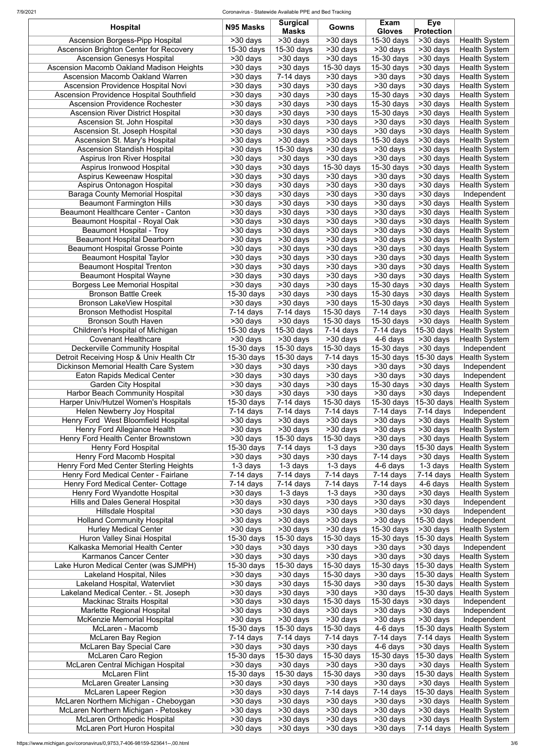7/9/2021 Coronavirus - Statewide Available PPE and Bed Tracking

|                                                                   |                          | <b>Surgical</b>                    |                                    | Exam                   | <b>Eye</b>            |                                     |
|-------------------------------------------------------------------|--------------------------|------------------------------------|------------------------------------|------------------------|-----------------------|-------------------------------------|
| <b>Hospital</b>                                                   | N95 Masks                | <b>Masks</b>                       | <b>Gowns</b>                       | <b>Gloves</b>          | <b>Protection</b>     |                                     |
| Ascension Borgess-Pipp Hospital                                   | $>30$ days               | $>30$ days                         | $>30$ days                         | $15-30$ days           | $>30$ days            | <b>Health System</b>                |
| <b>Ascension Brighton Center for Recovery</b>                     | 15-30 days               | 15-30 days                         | $>30$ days                         | >30 days               | $>30$ days            | <b>Health System</b>                |
| <b>Ascension Genesys Hospital</b>                                 | $>30$ days               | $>30$ days                         | $>30$ days                         | 15-30 days             | >30 days              | <b>Health System</b>                |
| Ascension Macomb Oakland Madison Heights                          | >30 days                 | $\overline{>30}$ days              | 15-30 days                         | 15-30 days             | >30 days              | <b>Health System</b>                |
| <b>Ascension Macomb Oakland Warren</b>                            | >30 days                 | $7-14$ days                        | >30 days                           | >30 days               | >30 days              | <b>Health System</b>                |
| <b>Ascension Providence Hospital Novi</b>                         | >30 days                 | >30 days                           | >30 days                           | >30 days               | $>30$ days            | <b>Health System</b>                |
| <b>Ascension Providence Hospital Southfield</b>                   | >30 days                 | >30 days                           | >30 days                           | 15-30 days             | >30 days              | <b>Health System</b>                |
| <b>Ascension Providence Rochester</b>                             | >30 days                 | $>30$ days                         | $>30$ days                         | 15-30 days             | $>30$ days            | <b>Health System</b>                |
| <b>Ascension River District Hospital</b>                          | >30 days                 | >30 days                           | >30 days                           | 15-30 days             | >30 days              | <b>Health System</b>                |
| Ascension St. John Hospital                                       | >30 days                 | >30 days                           | >30 days                           | >30 days               | >30 days              | <b>Health System</b>                |
| Ascension St. Joseph Hospital                                     | >30 days                 | >30 days                           | >30 days                           | $>30$ days             | $>30$ days            | <b>Health System</b>                |
| Ascension St. Mary's Hospital                                     | >30 days                 | >30 days                           | >30 days                           | 15-30 days             | >30 days              | <b>Health System</b>                |
| <b>Ascension Standish Hospital</b>                                | >30 days                 | 15-30 days                         | >30 days                           | >30 days               | $>30$ days            | <b>Health System</b>                |
| <b>Aspirus Iron River Hospital</b>                                | >30 days                 | >30 days                           | >30 days                           | >30 days               | >30 days              | <b>Health System</b>                |
| Aspirus Ironwood Hospital                                         | >30 days                 | >30 days                           | 15-30 days                         | 15-30 days             | >30 days              | <b>Health System</b>                |
| Aspirus Keweenaw Hospital                                         | >30 days                 | >30 days                           | >30 days                           | >30 days               | $>30$ days            | <b>Health System</b>                |
| Aspirus Ontonagon Hospital                                        | >30 days                 | $>30$ days                         | >30 days                           | >30 days               | >30 days              | <b>Health System</b>                |
| <b>Baraga County Memorial Hospital</b>                            | >30 days                 | >30 days                           | >30 days                           | >30 days               | >30 days              | Independent                         |
| <b>Beaumont Farmington Hills</b>                                  | >30 days                 | $>30$ days                         | >30 days                           | >30 days               | $>30$ days            | <b>Health System</b>                |
| <b>Beaumont Healthcare Center - Canton</b>                        | >30 days                 | $\overline{>30}$ days              | $>30$ days                         | $>30$ days             | >30 days              | <b>Health System</b>                |
| <b>Beaumont Hospital - Royal Oak</b>                              | $>30$ days               | $\overline{>}30$ days              | $>30$ days                         | $>30$ days             | $\overline{>30}$ days | <b>Health System</b>                |
| <b>Beaumont Hospital - Troy</b>                                   | $>30$ days               | $\overline{>30}$ days              | $\overline{>30}$ days              | >30 days               | $\overline{>30}$ days | <b>Health System</b>                |
| <b>Beaumont Hospital Dearborn</b>                                 | >30 days                 | $\overline{>30}$ days              | >30 days                           | $>30$ days             | $>30$ days            | <b>Health System</b>                |
| <b>Beaumont Hospital Grosse Pointe</b>                            | >30 days                 | $\overline{>30}$ days              | $\overline{>30}$ days              | $\overline{>30}$ days  | $\overline{>30}$ days | <b>Health System</b>                |
| <b>Beaumont Hospital Taylor</b>                                   | $>30$ days               | $\overline{>30}$ days              | $>30$ days                         | $>30$ days             | $\overline{>30}$ days | <b>Health System</b>                |
| <b>Beaumont Hospital Trenton</b>                                  | $>30$ days               | $>30$ days                         | >30 days                           | $>30$ days             | $\overline{>30}$ days | <b>Health System</b>                |
| <b>Beaumont Hospital Wayne</b>                                    | $>30$ days               | $\overline{>30}$ days              | $\overline{>30}$ days              | >30 days               | $>30$ days            | <b>Health System</b>                |
| <b>Borgess Lee Memorial Hospital</b>                              | $>30$ days               | $\overline{>30}$ days              | >30 days                           | 15-30 days             | $\overline{>30}$ days | <b>Health System</b>                |
| <b>Bronson Battle Creek</b>                                       | $\overline{15}$ -30 days | $>30$ days                         | $>30$ days                         | 15-30 days             | $>30$ days            | <b>Health System</b>                |
| <b>Bronson LakeView Hospital</b>                                  | >30 days                 | >30 days                           | $>30$ days                         | 15-30 days             | $\overline{>}30$ days | <b>Health System</b>                |
| <b>Bronson Methodist Hospital</b>                                 | $7-14$ days              | $7-14$ days                        | 15-30 days                         | $7-14$ days            | $>30$ days            | <b>Health System</b>                |
| <b>Bronson South Haven</b>                                        | >30 days                 | >30 days                           | 15-30 days                         | 15-30 days             | >30 days              | <b>Health System</b>                |
| Children's Hospital of Michigan                                   | $15-30$ days             | $\overline{15}$ -30 days           | $7-14$ days                        | $7-14$ days            | $15-30$ days          | <b>Health System</b>                |
| <b>Covenant Healthcare</b>                                        | >30 days                 | >30 days                           | >30 days                           | 4-6 days               | >30 days              | <b>Health System</b>                |
| <b>Deckerville Community Hospital</b>                             | 15-30 days               | $15-30$ days                       | 15-30 days                         | 15-30 days             | >30 days              | Independent                         |
| Detroit Receiving Hosp & Univ Health Ctr                          | 15-30 days               | 15-30 days                         | $7-14$ days                        | 15-30 days             | 15-30 days            | <b>Health System</b>                |
| Dickinson Memorial Health Care System                             | >30 days                 | >30 days                           | >30 days                           | >30 days               | >30 days              | Independent                         |
| <b>Eaton Rapids Medical Center</b><br><b>Garden City Hospital</b> | >30 days<br>>30 days     | >30 days<br>>30 days               | >30 days<br>>30 days               | >30 days<br>15-30 days | >30 days<br>>30 days  | Independent                         |
| Harbor Beach Community Hospital                                   | >30 days                 | >30 days                           | >30 days                           | >30 days               | >30 days              | <b>Health System</b><br>Independent |
| Harper Univ/Hutzel Women's Hospitals                              | 15-30 days               | $7-14$ days                        | 15-30 days                         | 15-30 days             | 15-30 days            | <b>Health System</b>                |
| Helen Newberry Joy Hospital                                       | $7-14$ days              | $7-14$ days                        | $7-14$ days                        | $7-14$ days            | $7-14$ days           | Independent                         |
| Henry Ford West Bloomfield Hospital                               | >30 days                 | >30 days                           | >30 days                           | >30 days               | >30 days              | <b>Health System</b>                |
| Henry Ford Allegiance Health                                      | >30 days                 | >30 days                           | >30 days                           | >30 days               | >30 days              | <b>Health System</b>                |
| Henry Ford Health Center Brownstown                               | >30 days                 | 15-30 days                         | 15-30 days                         | >30 days               | >30 days              | <b>Health System</b>                |
| <b>Henry Ford Hospital</b>                                        | 15-30 days               | $7-14$ days                        | 1-3 days                           | >30 days               | 15-30 days            | <b>Health System</b>                |
| Henry Ford Macomb Hospital                                        | >30 days                 | >30 days                           | >30 days                           | $7-14$ days            | >30 days              | <b>Health System</b>                |
| Henry Ford Med Center Sterling Heights                            | 1-3 days                 | 1-3 days                           | $1-3$ days                         | 4-6 days               | 1-3 days              | <b>Health System</b>                |
| Henry Ford Medical Center - Fairlane                              | $7-14$ days              | $7-14$ days                        | $7-14$ days                        | $7-14$ days            | $7-14$ days           | <b>Health System</b>                |
| <b>Henry Ford Medical Center- Cottage</b>                         | $7-14$ days              | $7-14$ days                        | $7-14$ days                        | $7-14$ days            | 4-6 days              | <b>Health System</b>                |
| Henry Ford Wyandotte Hospital                                     | >30 days                 | $\overline{1}$ -3 days             | $\overline{1}$ -3 days             | $>30$ days             | $>30$ days            | <b>Health System</b>                |
| <b>Hills and Dales General Hospital</b>                           | >30 days                 | >30 days                           | >30 days                           | >30 days               | $>30$ days            | Independent                         |
| <b>Hillsdale Hospital</b>                                         | >30 days                 | $>30$ days                         | $>30$ days                         | >30 days               | $>30$ days            | Independent                         |
| <b>Holland Community Hospital</b>                                 | >30 days                 | $>30$ days                         | >30 days                           | $>30$ days             | 15-30 days            | Independent                         |
| <b>Hurley Medical Center</b>                                      | >30 days                 | $>30$ days                         | >30 days                           | 15-30 days             | $>30$ days            | <b>Health System</b>                |
| Huron Valley Sinai Hospital                                       | 15-30 days               | $15-30$ days                       | 15-30 days                         | 15-30 days             | 15-30 days            | <b>Health System</b>                |
| Kalkaska Memorial Health Center                                   | >30 days                 | >30 days                           | $\overline{\phantom{1}}$ > 30 days | $>30$ days             | $>30$ days            | Independent                         |
| <b>Karmanos Cancer Center</b>                                     | >30 days                 | $\overline{>}30$ days              | >30 days                           | >30 days               | $>30$ days            | <b>Health System</b>                |
| Lake Huron Medical Center (was SJMPH)                             | $15-30$ days             | 15-30 days                         | 15-30 days                         | 15-30 days             | $15-30$ days          | <b>Health System</b>                |
| Lakeland Hospital, Niles                                          | $>30$ days               | >30 days                           | 15-30 days                         | >30 days               | 15-30 days            | <b>Health System</b>                |
| Lakeland Hospital, Watervliet                                     | $\overline{>}30$ days    | $\overline{\phantom{1}}$ > 30 days | $15-30$ days                       | >30 days               |                       | $ 15-30$ days Health System         |
| Lakeland Medical Center. - St. Joseph                             | >30 days                 | >30 days                           | >30 days                           | >30 days               | 15-30 days            | <b>Health System</b>                |
| <b>Mackinac Straits Hospital</b>                                  | >30 days                 | >30 days                           | 15-30 days                         | 15-30 days             | >30 days              | Independent                         |
| <b>Marlette Regional Hospital</b>                                 | >30 days                 | >30 days                           | >30 days                           | >30 days               | >30 days              | Independent                         |
| <b>McKenzie Memorial Hospital</b>                                 | >30 days                 | $>30$ days                         | >30 days                           | >30 days               | >30 days              | Independent                         |
| McLaren - Macomb                                                  | 15-30 days               | 15-30 days                         | 15-30 days                         | 4-6 days               | 15-30 days            | <b>Health System</b>                |
| <b>McLaren Bay Region</b>                                         | $7-14$ days              | $7-14$ days                        | $7-14$ days                        | $7-14$ days            | $7-14$ days           | <b>Health System</b>                |
| <b>McLaren Bay Special Care</b>                                   | >30 days                 | >30 days                           | >30 days                           | 4-6 days               | >30 days              | <b>Health System</b>                |
| <b>McLaren Caro Region</b>                                        | 15-30 days               | 15-30 days                         | 15-30 days                         | 15-30 days             | 15-30 days            | <b>Health System</b>                |
| McLaren Central Michigan Hospital                                 | >30 days                 | >30 days                           | >30 days                           | >30 days               | $>30$ days            | <b>Health System</b>                |
| <b>McLaren Flint</b>                                              | 15-30 days               | 15-30 days                         | 15-30 days                         | >30 days               | 15-30 days            | <b>Health System</b>                |
| <b>McLaren Greater Lansing</b>                                    | >30 days                 | >30 days                           | >30 days                           | >30 days               | $>30$ days            | <b>Health System</b>                |
| <b>McLaren Lapeer Region</b>                                      | >30 days                 | >30 days                           | $7-14$ days                        | $7-14$ days            | 15-30 days            | <b>Health System</b>                |
| McLaren Northern Michigan - Cheboygan                             | >30 days                 | >30 days                           | >30 days                           | >30 days               | >30 days              | <b>Health System</b>                |
| McLaren Northern Michigan - Petoskey                              | >30 days                 | >30 days                           | >30 days                           | >30 days               | >30 days              | <b>Health System</b>                |
| <b>McLaren Orthopedic Hospital</b>                                | >30 days                 | >30 days                           | >30 days                           | >30 days               | >30 days              | <b>Health System</b>                |
| McLaren Port Huron Hospital                                       | >30 days                 | >30 days                           | >30 days                           | >30 days               | $7-14$ days           | <b>Health System</b>                |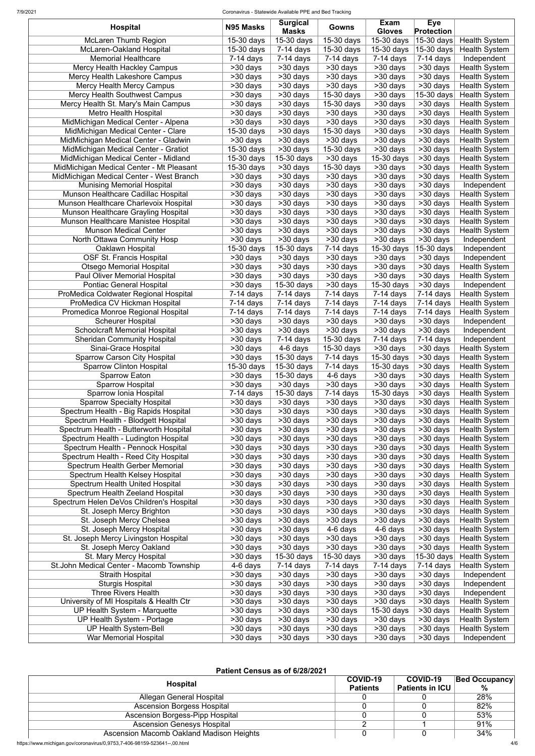| <b>Hospital</b>                                                            | N95 Masks              | <b>Surgical</b><br><b>Masks</b> | Gowns                 | Exam<br><b>Gloves</b>   | <b>Eye</b><br><b>Protection</b> |                                              |
|----------------------------------------------------------------------------|------------------------|---------------------------------|-----------------------|-------------------------|---------------------------------|----------------------------------------------|
| <b>McLaren Thumb Region</b>                                                | 15-30 days             | $15-30$ days                    | 15-30 days            | 15-30 days              | $\overline{15}$ -30 days        | <b>Health System</b>                         |
| McLaren-Oakland Hospital                                                   | 15-30 days             | $7-14$ days                     | 15-30 days            | $\overline{1}5-30$ days | 15-30 days                      | <b>Health System</b>                         |
| <b>Memorial Healthcare</b>                                                 | $7-14$ days            | $\overline{7}$ -14 days         | $7-14$ days           | $7-14$ days             | $7-14$ days                     | Independent                                  |
| <b>Mercy Health Hackley Campus</b>                                         | >30 days               | >30 days                        | >30 days              | >30 days                | >30 days                        | <b>Health System</b>                         |
| Mercy Health Lakeshore Campus                                              | >30 days               | >30 days                        | >30 days              | >30 days                | >30 days                        | <b>Health System</b>                         |
| <b>Mercy Health Mercy Campus</b>                                           | >30 days               | >30 days                        | >30 days              | >30 days                | >30 days                        | <b>Health System</b>                         |
| <b>Mercy Health Southwest Campus</b>                                       | >30 days               | >30 days                        | 15-30 days            | >30 days                | 15-30 days                      | <b>Health System</b>                         |
| Mercy Health St. Mary's Main Campus                                        | >30 days               | >30 days                        | 15-30 days            | >30 days                | >30 days                        | <b>Health System</b>                         |
| <b>Metro Health Hospital</b>                                               | >30 days               | >30 days                        | >30 days              | >30 days                | >30 days                        | <b>Health System</b>                         |
| MidMichigan Medical Center - Alpena                                        | >30 days               | >30 days                        | >30 days              | >30 days                | >30 days                        | <b>Health System</b>                         |
| MidMichigan Medical Center - Clare                                         | 15-30 days             | >30 days                        | 15-30 days            | >30 days                | >30 days                        | <b>Health System</b>                         |
| MidMichigan Medical Center - Gladwin                                       | >30 days               | >30 days                        | >30 days              | >30 days                | >30 days                        | <b>Health System</b>                         |
| MidMichigan Medical Center - Gratiot                                       | 15-30 days             | >30 days                        | 15-30 days            | >30 days                | >30 days                        | <b>Health System</b>                         |
| MidMichigan Medical Center - Midland                                       | 15-30 days             | 15-30 days                      | >30 days              | 15-30 days              | >30 days                        | <b>Health System</b>                         |
| MidMichigan Medical Center - Mt Pleasant                                   | 15-30 days             | >30 days                        | 15-30 days            | >30 days                | >30 days                        | <b>Health System</b>                         |
| MidMichigan Medical Center - West Branch                                   | >30 days               | >30 days                        | >30 days              | >30 days                | >30 days                        | <b>Health System</b>                         |
| <b>Munising Memorial Hospital</b>                                          | >30 days               | >30 days                        | >30 days              | >30 days                | >30 days                        | Independent                                  |
| Munson Healthcare Cadillac Hospital                                        | >30 days               | >30 days                        | >30 days              | >30 days                | >30 days                        | <b>Health System</b>                         |
| Munson Healthcare Charlevoix Hospital                                      | >30 days               | >30 days                        | >30 days              | >30 days                | >30 days                        | <b>Health System</b>                         |
| Munson Healthcare Grayling Hospital                                        | >30 days               | >30 days                        | >30 days              | $>30$ days              | >30 days                        | <b>Health System</b>                         |
| Munson Healthcare Manistee Hospital                                        | >30 days               | >30 days                        | >30 days              | >30 days                | $>30$ days                      | <b>Health System</b>                         |
| <b>Munson Medical Center</b>                                               | >30 days               | $>30$ days                      | $\overline{>}30$ days | >30 days                | >30 days                        | <b>Health System</b>                         |
| North Ottawa Community Hosp                                                | >30 days               | >30 days                        | >30 days              | >30 days                | >30 days                        | Independent                                  |
| Oaklawn Hospital                                                           | 15-30 days             | 15-30 days                      | $7-14$ days           | 15-30 days              | 15-30 days                      | Independent                                  |
| <b>OSF St. Francis Hospital</b>                                            | >30 days               | >30 days                        | >30 days              | >30 days                | $>30$ days                      | Independent                                  |
| <b>Otsego Memorial Hospital</b>                                            | >30 days               | >30 days                        | >30 days              | >30 days                | >30 days                        | <b>Health System</b>                         |
| <b>Paul Oliver Memorial Hospital</b>                                       | >30 days               | >30 days                        | $>30$ days            | >30 days                | $\overline{>30}$ days           | <b>Health System</b>                         |
| <b>Pontiac General Hospital</b>                                            | >30 days               | $\overline{1}5-30$ days         | >30 days              | 15-30 days              | >30 days                        | Independent                                  |
| ProMedica Coldwater Regional Hospital                                      | $7-14$ days            | $7-14$ days                     | 7-14 days             | $7-14$ days             | $7-14$ days                     | <b>Health System</b>                         |
| ProMedica CV Hickman Hospital                                              | $7-14$ days            | $7-14$ days                     | $7-14$ days           | $7-14$ days             |                                 | 7-14 days   Health System                    |
| Promedica Monroe Regional Hospital                                         | 7-14 days              | $7-14$ days                     | $7-14$ days           | $7-14$ days             | $7-14$ days                     | <b>Health System</b>                         |
| <b>Scheurer Hospital</b>                                                   | >30 days               | >30 days                        | $>30$ days            | >30 days                | >30 days                        | Independent                                  |
| <b>Schoolcraft Memorial Hospital</b>                                       | >30 days               | >30 days                        | >30 days              | $>30$ days              | $>30$ days                      | Independent                                  |
| <b>Sheridan Community Hospital</b>                                         | >30 days               | $7-14$ days                     | 15-30 days            | $7-14$ days             | $7-14$ days                     | Independent                                  |
| Sinai-Grace Hospital                                                       | >30 days               | 4-6 days                        | 15-30 days            | >30 days                | >30 days                        | <b>Health System</b>                         |
| <b>Sparrow Carson City Hospital</b>                                        | >30 days               | 15-30 days                      | $7-14$ days           | 15-30 days              | >30 days                        | <b>Health System</b>                         |
| <b>Sparrow Clinton Hospital</b>                                            | 15-30 days             | 15-30 days                      | $7-14$ days           | 15-30 days              | >30 days                        | <b>Health System</b>                         |
| <b>Sparrow Eaton</b>                                                       | >30 days               | 15-30 days                      | 4-6 days              | >30 days                | >30 days                        | <b>Health System</b>                         |
| <b>Sparrow Hospital</b>                                                    | >30 days               | >30 days                        | >30 days              | >30 days                | >30 days                        | <b>Health System</b>                         |
| Sparrow Ionia Hospital                                                     | $7-14$ days            | 15-30 days                      | 7-14 days             | 15-30 days              | >30 days                        | <b>Health System</b>                         |
| <b>Sparrow Specialty Hospital</b>                                          | >30 days               | >30 days                        | >30 days              | >30 days                | >30 days                        | <b>Health System</b>                         |
| Spectrum Health - Big Rapids Hospital                                      | >30 days               | >30 days                        | >30 days              | >30 days                | >30 days                        | <b>Health System</b>                         |
| Spectrum Health - Blodgett Hospital                                        | >30 days               | >30 days                        | >30 days              | >30 days                | >30 days                        | <b>Health System</b>                         |
| Spectrum Health - Butterworth Hospital                                     | >30 days               | >30 days                        | >30 days              | >30 days                | >30 days                        | <b>Health System</b>                         |
| Spectrum Health - Ludington Hospital                                       | >30 days               | >30 days                        | >30 days              | >30 days                | >30 days                        | <b>Health System</b>                         |
| Spectrum Health - Pennock Hospital<br>Spectrum Health - Reed City Hospital | >30 days<br>>30 days   | >30 days<br>>30 days            | >30 days<br>>30 days  | >30 days<br>>30 days    | >30 days<br>>30 days            | <b>Health System</b><br><b>Health System</b> |
| <b>Spectrum Health Gerber Memorial</b>                                     | >30 days               | >30 days                        | >30 days              | >30 days                | >30 days                        |                                              |
| Spectrum Health Kelsey Hospital                                            | >30 days               | >30 days                        | >30 days              | >30 days                | >30 days                        | <b>Health System</b>                         |
| Spectrum Health United Hospital                                            | >30 days               | >30 days                        | >30 days              | >30 days                | >30 days                        | <b>Health System</b><br><b>Health System</b> |
| Spectrum Health Zeeland Hospital                                           | >30 days               | $>30$ days                      | >30 days              | >30 days                | >30 days                        | <b>Health System</b>                         |
| Spectrum Helen DeVos Children's Hospital                                   | >30 days               | >30 days                        | >30 days              | >30 days                | $>30$ days                      | <b>Health System</b>                         |
| St. Joseph Mercy Brighton                                                  | >30 days               | >30 days                        | $>30$ days            | >30 days                | >30 days                        | <b>Health System</b>                         |
| St. Joseph Mercy Chelsea                                                   | >30 days               | >30 days                        | $>30$ days            | >30 days                | >30 days                        | <b>Health System</b>                         |
| St. Joseph Mercy Hospital                                                  | >30 days               | $>30$ days                      | 4-6 days              | 4-6 days                | >30 days                        | <b>Health System</b>                         |
| St. Joseph Mercy Livingston Hospital                                       | >30 days               | >30 days                        | >30 days              | >30 days                | $\overline{>30}$ days           | <b>Health System</b>                         |
| St. Joseph Mercy Oakland                                                   | >30 days               | $>30$ days                      | >30 days              | >30 days                | $>30$ days                      | <b>Health System</b>                         |
| St. Mary Mercy Hospital                                                    | >30 days               | 15-30 days                      | 15-30 days            | >30 days                | 15-30 days                      | <b>Health System</b>                         |
| St. John Medical Center - Macomb Township                                  | $\overline{4}$ -6 days | $\overline{7}$ -14 days         | $7-14$ days           | $7-14$ days             | $\overline{7}$ -14 days         | <b>Health System</b>                         |
| <b>Straith Hospital</b>                                                    | >30 days               | >30 days                        | >30 days              | >30 days                | $>30$ days                      | Independent                                  |
| <b>Sturgis Hospital</b>                                                    | >30 days               | >30 days                        | >30 days              | >30 days                | >30 days                        | Independent                                  |
| <b>Three Rivers Health</b>                                                 | >30 days               | $>30$ days                      | >30 days              | >30 days                | >30 days                        | Independent                                  |
| University of MI Hospitals & Health Ctr                                    | >30 days               | $\overline{>30}$ days           | >30 days              | >30 days                | $\overline{>30}$ days           | <b>Health System</b>                         |
| <b>UP Health System - Marquette</b>                                        | >30 days               | >30 days                        | $\overline{>30}$ days | 15-30 days              | >30 days                        | <b>Health System</b>                         |
| UP Health System - Portage                                                 | >30 days               | >30 days                        | >30 days              | >30 days                | >30 days                        | <b>Health System</b>                         |
| <b>UP Health System-Bell</b>                                               | >30 days               | >30 days                        | >30 days              | >30 days                | >30 days                        | <b>Health System</b>                         |
| <b>War Memorial Hospital</b>                                               | >30 days               | >30 days                        | >30 days              | >30 days                | >30 days                        | Independent                                  |

## **Patient Census as of 6/28/2021**

| <b>Hospital</b>                          | COVID-19        | <b>COVID-19</b>        | <b>Bed Occupancy</b> |
|------------------------------------------|-----------------|------------------------|----------------------|
|                                          | <b>Patients</b> | <b>Patients in ICU</b> | %                    |
| Allegan General Hospital                 |                 |                        | 28%                  |
| <b>Ascension Borgess Hospital</b>        |                 |                        | 82%                  |
| <b>Ascension Borgess-Pipp Hospital</b>   |                 |                        | 53%                  |
| <b>Ascension Genesys Hospital</b>        |                 |                        | 91%                  |
| Ascension Macomb Oakland Madison Heights |                 |                        | 34%                  |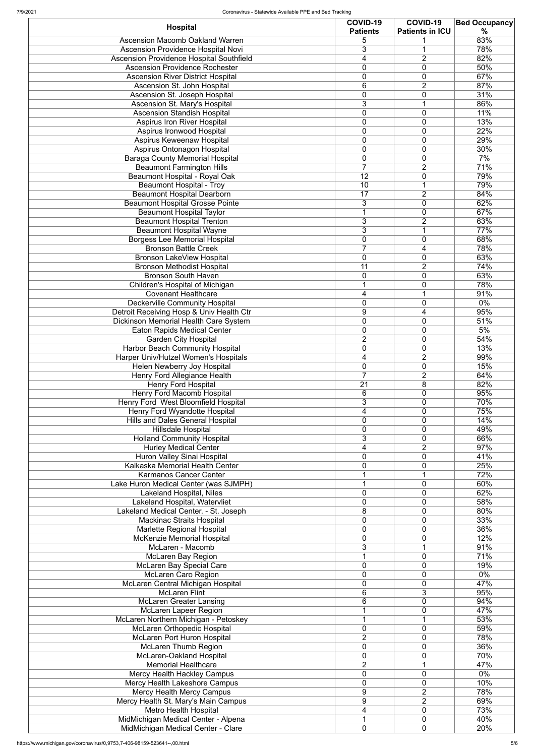| <b>Hospital</b>                                                                | <b>COVID-19</b><br><b>Patients</b> | COVID-19<br><b>Patients in ICU</b>         | <b>Bed Occupancy</b><br>$\%$ |
|--------------------------------------------------------------------------------|------------------------------------|--------------------------------------------|------------------------------|
| <b>Ascension Macomb Oakland Warren</b>                                         | 5                                  |                                            | 83%                          |
| <b>Ascension Providence Hospital Novi</b>                                      | 3                                  |                                            | 78%                          |
| <b>Ascension Providence Hospital Southfield</b>                                | 4                                  | $\overline{2}$                             | 82%                          |
| <b>Ascension Providence Rochester</b>                                          | 0                                  | $\mathbf 0$                                | 50%                          |
| <b>Ascension River District Hospital</b>                                       | $\overline{0}$                     | $\mathbf 0$                                | 67%                          |
| Ascension St. John Hospital                                                    | 6                                  | $\overline{2}$                             | 87%                          |
| Ascension St. Joseph Hospital                                                  | $\overline{0}$                     | 0                                          | 31%                          |
| Ascension St. Mary's Hospital                                                  | 3                                  | 4                                          | 86%                          |
| <b>Ascension Standish Hospital</b>                                             | $\overline{0}$                     | $\mathbf 0$<br>$\mathbf 0$                 | 11%<br>13%                   |
| Aspirus Iron River Hospital<br>Aspirus Ironwood Hospital                       | 0<br>0                             | $\overline{0}$                             | 22%                          |
| Aspirus Keweenaw Hospital                                                      | $\mathbf 0$                        | $\mathbf 0$                                | 29%                          |
| <b>Aspirus Ontonagon Hospital</b>                                              | $\overline{0}$                     | $\mathbf 0$                                | 30%                          |
| <b>Baraga County Memorial Hospital</b>                                         | $\overline{0}$                     | $\overline{0}$                             | 7%                           |
| <b>Beaumont Farmington Hills</b>                                               | $\overline{7}$                     | $\overline{2}$                             | 71%                          |
| <b>Beaumont Hospital - Royal Oak</b>                                           | 12                                 | 0                                          | 79%                          |
| <b>Beaumont Hospital - Troy</b>                                                | 10                                 |                                            | 79%                          |
| <b>Beaumont Hospital Dearborn</b>                                              | 17                                 | $\overline{2}$                             | 84%                          |
| <b>Beaumont Hospital Grosse Pointe</b>                                         | 3                                  | $\overline{0}$                             | 62%                          |
| <b>Beaumont Hospital Taylor</b>                                                | 1                                  | $\mathbf 0$                                | 67%                          |
| <b>Beaumont Hospital Trenton</b><br><b>Beaumont Hospital Wayne</b>             | 3<br>$\overline{3}$                | $\overline{2}$<br>$\overline{\phantom{a}}$ | 63%<br>77%                   |
| <b>Borgess Lee Memorial Hospital</b>                                           | $\mathbf 0$                        | 0                                          | 68%                          |
| <b>Bronson Battle Creek</b>                                                    | $\overline{7}$                     | 4                                          | 78%                          |
| <b>Bronson LakeView Hospital</b>                                               | $\overline{0}$                     | 0                                          | 63%                          |
| <b>Bronson Methodist Hospital</b>                                              | 11                                 | $\overline{2}$                             | 74%                          |
| <b>Bronson South Haven</b>                                                     | 0                                  | 0                                          | 63%                          |
| <b>Children's Hospital of Michigan</b>                                         | 1                                  | $\mathbf 0$                                | 78%                          |
| <b>Covenant Healthcare</b>                                                     | 4                                  |                                            | 91%                          |
| <b>Deckerville Community Hospital</b>                                          | $\overline{0}$                     | $\pmb{0}$                                  | $0\%$                        |
| Detroit Receiving Hosp & Univ Health Ctr                                       | 9                                  | 4                                          | 95%                          |
| Dickinson Memorial Health Care System                                          | 0                                  | 0                                          | 51%                          |
| <b>Eaton Rapids Medical Center</b>                                             | $\overline{0}$                     | $\mathbf 0$                                | 5%                           |
| <b>Garden City Hospital</b>                                                    | 2<br>0                             | $\mathbf 0$<br>$\overline{0}$              | 54%<br>13%                   |
| <b>Harbor Beach Community Hospital</b><br>Harper Univ/Hutzel Women's Hospitals | 4                                  | $\overline{2}$                             | 99%                          |
| Helen Newberry Joy Hospital                                                    | 0                                  | 0                                          | 15%                          |
| Henry Ford Allegiance Health                                                   | $\overline{7}$                     | $\overline{2}$                             | 64%                          |
| Henry Ford Hospital                                                            | 21                                 | 8                                          | 82%                          |
| Henry Ford Macomb Hospital                                                     | 6                                  | $\mathbf 0$                                | 95%                          |
| Henry Ford West Bloomfield Hospital                                            | 3                                  | $\mathbf 0$                                | 70%                          |
| Henry Ford Wyandotte Hospital                                                  | 4                                  | $\mathbf 0$                                | 75%                          |
| <b>Hills and Dales General Hospital</b>                                        | 0                                  | $\overline{0}$                             | 14%                          |
| <b>Hillsdale Hospital</b>                                                      | 0                                  | $\mathbf 0$                                | 49%                          |
| <b>Holland Community Hospital</b>                                              | 3                                  | 0                                          | 66%                          |
| <b>Hurley Medical Center</b>                                                   | 4<br>0                             | $\overline{2}$<br>$\mathbf 0$              | 97%<br>41%                   |
| Huron Valley Sinai Hospital<br>Kalkaska Memorial Health Center                 | 0                                  | $\mathbf 0$                                | 25%                          |
| <b>Karmanos Cancer Center</b>                                                  |                                    | $\overline{\phantom{a}}$                   | 72%                          |
| Lake Huron Medical Center (was SJMPH)                                          | 1                                  | 0                                          | 60%                          |
| <b>Lakeland Hospital, Niles</b>                                                | 0                                  | 0                                          | 62%                          |
| Lakeland Hospital, Watervliet                                                  | 0                                  | $\mathbf 0$                                | 58%                          |
| Lakeland Medical Center. - St. Joseph                                          | 8                                  | 0                                          | 80%                          |
| <b>Mackinac Straits Hospital</b>                                               | $\overline{0}$                     | $\mathbf 0$                                | 33%                          |
| Marlette Regional Hospital                                                     | 0                                  | 0                                          | 36%                          |
| <b>McKenzie Memorial Hospital</b>                                              | 0                                  | 0                                          | 12%                          |
| McLaren - Macomb                                                               | 3                                  | и                                          | 91%                          |
| <b>McLaren Bay Region</b>                                                      | 1                                  | 0<br>$\overline{0}$                        | 71%                          |
| <b>McLaren Bay Special Care</b><br><b>McLaren Caro Region</b>                  | 0<br>0                             | 0                                          | 19%<br>$0\%$                 |
| McLaren Central Michigan Hospital                                              | $\overline{0}$                     | 0                                          | 47%                          |
| <b>McLaren Flint</b>                                                           | 6                                  | 3                                          | 95%                          |
| <b>McLaren Greater Lansing</b>                                                 | 6                                  | $\overline{0}$                             | 94%                          |
| <b>McLaren Lapeer Region</b>                                                   | 1                                  | 0                                          | 47%                          |
| McLaren Northern Michigan - Petoskey                                           | 1                                  |                                            | 53%                          |
| McLaren Orthopedic Hospital                                                    | $\overline{0}$                     | $\mathbf 0$                                | 59%                          |
| <b>McLaren Port Huron Hospital</b>                                             | $\overline{2}$                     | $\overline{0}$                             | 78%                          |
| <b>McLaren Thumb Region</b>                                                    | 0                                  | 0                                          | 36%                          |
| McLaren-Oakland Hospital                                                       | 0                                  | 0                                          | 70%                          |
| <b>Memorial Healthcare</b>                                                     | $\overline{2}$                     |                                            | 47%                          |
| Mercy Health Hackley Campus                                                    | $\mathbf 0$                        | 0                                          | $0\%$                        |
| Mercy Health Lakeshore Campus                                                  | 0<br>9                             | $\overline{0}$<br>$\overline{2}$           | 10%<br>78%                   |
| <b>Mercy Health Mercy Campus</b><br>Mercy Health St. Mary's Main Campus        | 9                                  | $\overline{2}$                             | 69%                          |
| <b>Metro Health Hospital</b>                                                   | 4                                  | $\overline{0}$                             | 73%                          |
| MidMichigan Medical Center - Alpena                                            | 1                                  | 0                                          | 40%                          |
| MidMichigan Medical Center - Clare                                             | $\mathbf 0$                        | 0                                          | 20%                          |